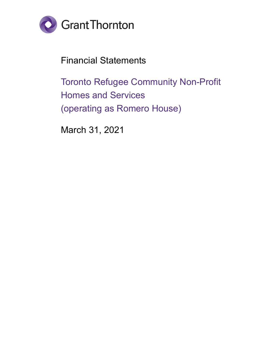

Financial Statements

Toronto Refugee Community Non-Profit Homes and Services (operating as Romero House)

March 31, 2021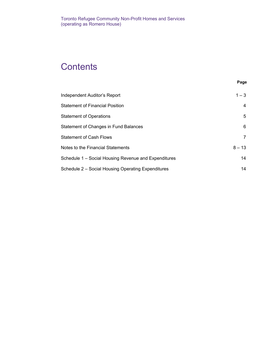# **Contents**

| Independent Auditor's Report                         | $1 - 3$      |
|------------------------------------------------------|--------------|
| <b>Statement of Financial Position</b>               | 4            |
| <b>Statement of Operations</b>                       | 5            |
| Statement of Changes in Fund Balances                | 6            |
| <b>Statement of Cash Flows</b>                       | $\mathbf{7}$ |
| Notes to the Financial Statements                    | $8 - 13$     |
| Schedule 1 – Social Housing Revenue and Expenditures | 14           |
| Schedule 2 - Social Housing Operating Expenditures   | 14           |

**Page**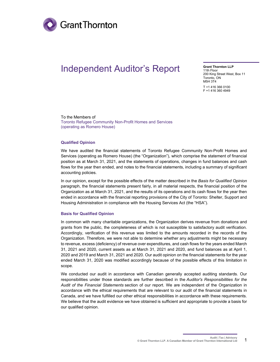

# Independent Auditor's Report

**Grant Thornton LLP**  11th Floor 200 King Street West, Box 11 Toronto, ON M5H 3T4 T +1 416 366 0100 F +1 416 360 4949

To the Members of Toronto Refugee Community Non-Profit Homes and Services (operating as Romero House)

#### **Qualified Opinion**

We have audited the financial statements of Toronto Refugee Community Non-Profit Homes and Services (operating as Romero House) (the "Organization"), which comprise the statement of financial position as at March 31, 2021, and the statements of operations, changes in fund balances and cash flows for the year then ended, and notes to the financial statements, including a summary of significant accounting policies.

In our opinion, except for the possible effects of the matter described in the *Basis for Qualified Opinion* paragraph, the financial statements present fairly, in all material respects, the financial position of the Organization as at March 31, 2021, and the results of its operations and its cash flows for the year then ended in accordance with the financial reporting provisions of the City of Toronto: Shelter, Support and Housing Administration in compliance with the Housing Services Act (the "HSA").

#### **Basis for Qualified Opinion**

In common with many charitable organizations, the Organization derives revenue from donations and grants from the public, the completeness of which is not susceptible to satisfactory audit verification. Accordingly, verification of this revenue was limited to the amounts recorded in the records of the Organization. Therefore, we were not able to determine whether any adjustments might be necessary to revenue, excess (deficiency) of revenue over expenditures, and cash flows for the years ended March 31, 2021 and 2020, current assets as at March 31, 2021 and 2020, and fund balances as at April 1, 2020 and 2019 and March 31, 2021 and 2020. Our audit opinion on the financial statements for the year ended March 31, 2020 was modified accordingly because of the possible effects of this limitation in scope.

We conducted our audit in accordance with Canadian generally accepted auditing standards. Our responsibilities under those standards are further described in the *Auditor's Responsibilities for the Audit of the Financial Statements* section of our report. We are independent of the Organization in accordance with the ethical requirements that are relevant to our audit of the financial statements in Canada, and we have fulfilled our other ethical responsibilities in accordance with these requirements. We believe that the audit evidence we have obtained is sufficient and appropriate to provide a basis for our qualified opinion.

> **Audit | Tax | Advisory © Grant Thornton LLP. A Canadian Member of Grant Thornton International Ltd** 1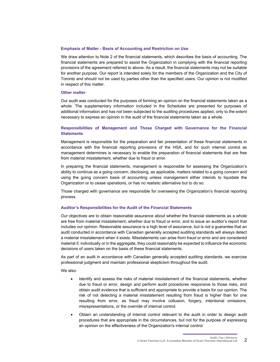#### **Emphasis of Matter - Basis of Accounting and Restriction on Use**

We draw attention to Note 2 of the financial statements, which describes the basis of accounting. The financial statements are prepared to assist the Organization in complying with the financial reporting provisions of the agreement referred to above. As a result, the financial statements may not be suitable for another purpose. Our report is intended solely for the members of the Organization and the City of Toronto and should not be used by parties other than the specified users. Our opinion is not modified in respect of this matter.

#### **Other matter**

Our audit was conducted for the purposes of forming an opinion on the financial statements taken as a whole. The supplementary information included in the Schedules are presented for purposes of additional information and has not been subjected to the auditing procedures applied, only to the extent necessary to express an opinion in the audit of the financial statements taken as a whole.

#### **Responsibilities of Management and Those Charged with Governance for the Financial Statements**

Management is responsible for the preparation and fair presentation of these financial statements in accordance with the financial reporting provisions of the HSA, and for such internal control as management determines is necessary to enable the preparation of financial statements that are free from material misstatement, whether due to fraud or error.

In preparing the financial statements, management is responsible for assessing the Organization's ability to continue as a going concern, disclosing, as applicable, matters related to a going concern and using the going concern basis of accounting unless management either intends to liquidate the Organization or to cease operations, or has no realistic alternative but to do so.

Those charged with governance are responsible for overseeing the Organization's financial reporting process.

#### **Auditor's Responsibilities for the Audit of the Financial Statements**

Our objectives are to obtain reasonable assurance about whether the financial statements as a whole are free from material misstatement, whether due to fraud or error, and to issue an auditor's report that includes our opinion. Reasonable assurance is a high level of assurance, but is not a guarantee that an audit conducted in accordance with Canadian generally accepted auditing standards will always detect a material misstatement when it exists. Misstatements can arise from fraud or error and are considered material if, individually or in the aggregate, they could reasonably be expected to influence the economic decisions of users taken on the basis of these financial statements.

As part of an audit in accordance with Canadian generally accepted auditing standards, we exercise professional judgment and maintain professional skepticism throughout the audit.

We also:

- Identify and assess the risks of material misstatement of the financial statements, whether due to fraud or error, design and perform audit procedures responsive to those risks, and obtain audit evidence that is sufficient and appropriate to provide a basis for our opinion. The risk of not detecting a material misstatement resulting from fraud is higher than for one resulting from error, as fraud may involve collusion, forgery, intentional omissions, misrepresentations, or the override of internal control.
- Obtain an understanding of internal control relevant to the audit in order to design audit procedures that are appropriate in the circumstances, but not for the purpose of expressing an opinion on the effectiveness of the Organization's internal control.

**Audit | Tax | Advisory © Grant Thornton LLP. A Canadian Member of Grant Thornton International Ltd** 2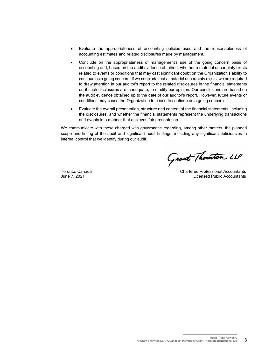- Evaluate the appropriateness of accounting policies used and the reasonableness of accounting estimates and related disclosures made by management.
- Conclude on the appropriateness of management's use of the going concern basis of accounting and, based on the audit evidence obtained, whether a material uncertainty exists related to events or conditions that may cast significant doubt on the Organization's ability to continue as a going concern. If we conclude that a material uncertainty exists, we are required to draw attention in our auditor's report to the related disclosures in the financial statements or, if such disclosures are inadequate, to modify our opinion. Our conclusions are based on the audit evidence obtained up to the date of our auditor's report. However, future events or conditions may cause the Organization to cease to continue as a going concern.
- Evaluate the overall presentation, structure and content of the financial statements, including the disclosures, and whether the financial statements represent the underlying transactions and events in a manner that achieves fair presentation.

We communicate with those charged with governance regarding, among other matters, the planned scope and timing of the audit and significant audit findings, including any significant deficiencies in internal control that we identify during our audit.

Grant Thouton LLP

Toronto, Canada Chartered Professional Accountants June 7, 2021 Licensed Public Accountants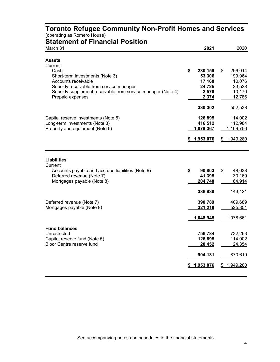| i oronto Refugee Community Non-Profit Homes and Services<br>(operating as Romero House)                                                                                                                           |                                                           |                      |                                                            |  |
|-------------------------------------------------------------------------------------------------------------------------------------------------------------------------------------------------------------------|-----------------------------------------------------------|----------------------|------------------------------------------------------------|--|
| <b>Statement of Financial Position</b><br>March 31                                                                                                                                                                |                                                           | 2021                 | 2020                                                       |  |
| Assets<br>Current<br>Cash<br>Short-term investments (Note 3)<br>Accounts receivable<br>Subsidy receivable from service manager<br>Subsidy supplement receivable from service manager (Note 4)<br>Prepaid expenses | \$<br>230,159<br>53,306<br>17,160<br>24,725               | \$<br>2,578<br>2,374 | 296,014<br>199,964<br>10,076<br>23,528<br>10,170<br>12,786 |  |
| Capital reserve investments (Note 5)<br>Long-term investments (Note 3)<br>Property and equipment (Note 6)                                                                                                         | 330,302<br>126,895<br>416,512<br>1,079,367<br>\$1,953,076 |                      | 552,538<br>114,002<br>112,984<br>1,169,756<br>\$1,949,280  |  |
| <b>Liabilities</b><br>Current<br>Accounts payable and accrued liabilities (Note 9)<br>Deferred revenue (Note 7)<br>Mortgages payable (Note 8)                                                                     | \$<br>90,803<br>41,395<br>204,740<br>336,938              | \$                   | 48,038<br>30,169<br>64,914<br>143,121                      |  |
| Deferred revenue (Note 7)<br>Mortgages payable (Note 8)                                                                                                                                                           | 390,789<br>321,218<br><u>1,048,945</u>                    |                      | 409,689<br>525,851<br>1,078,661                            |  |
| <b>Fund balances</b><br>Unrestricted<br>Capital reserve fund (Note 5)<br><b>Bloor Centre reserve fund</b>                                                                                                         | 756,784<br>126,895<br>20,452<br>904,131                   |                      | 732,263<br>114,002<br>24,354<br>870,619                    |  |
|                                                                                                                                                                                                                   | \$1,953,076                                               |                      | \$1,949,280                                                |  |

# **Toronto Refugee Community Non-Profit Homes and Services**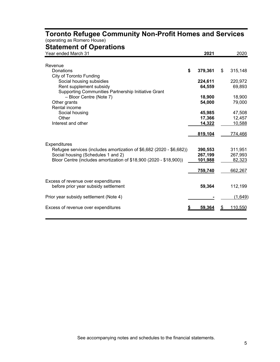| (operating as Romero House)                                                 |                  |                  |
|-----------------------------------------------------------------------------|------------------|------------------|
| <b>Statement of Operations</b>                                              |                  |                  |
| Year ended March 31                                                         | 2021             | 2020             |
|                                                                             |                  |                  |
| Revenue<br>\$<br>Donations<br>City of Toronto Funding                       | 379,361          | \$<br>315,148    |
| Social housing subsidies                                                    | 224,611          | 220,972          |
| Rent supplement subsidy                                                     | 64,559           | 69,893           |
| Supporting Communities Partnership Initiative Grant                         |                  |                  |
| - Bloor Centre (Note 7)                                                     | 18,900<br>54,000 | 18,900<br>79,000 |
| Other grants<br>Rental income                                               |                  |                  |
| Social housing                                                              | 45,985           | 47,508           |
| Other                                                                       | 17,366           | 12,457           |
| Interest and other                                                          | 14,322           | 10,588           |
|                                                                             | 819,104          | 774,466          |
| <b>Expenditures</b>                                                         |                  |                  |
| Refugee services (includes amortization of \$6,682 (2020 - \$6,682))        | 390,553          | 311,951          |
| Social housing (Schedules 1 and 2)                                          | 267,199          | 267,993          |
| Bloor Centre (includes amortization of \$18,900 (2020 - \$18,900))          | 101,988          | 82,323           |
|                                                                             | 759,740          | 662,267          |
|                                                                             |                  |                  |
| Excess of revenue over expenditures<br>before prior year subsidy settlement | 59,364           | 112,199          |
| Prior year subsidy settlement (Note 4)                                      |                  | (1,649)          |
| Excess of revenue over expenditures                                         | 59,364           | 110,550          |
|                                                                             |                  |                  |

# **Toronto Refugee Community Non-Profit Homes and Services**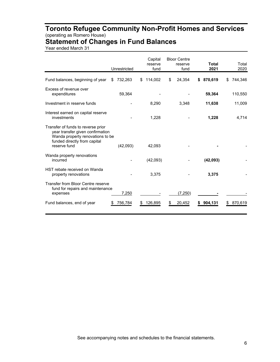# **Statement of Changes in Fund Balances**

Year ended March 31

|                                                                                                                                                            | Unrestricted  | Capital<br>reserve<br>fund | <b>Bloor Centre</b><br>reserve<br>fund | <b>Total</b><br>2021 | Total<br>2020 |
|------------------------------------------------------------------------------------------------------------------------------------------------------------|---------------|----------------------------|----------------------------------------|----------------------|---------------|
| Fund balances, beginning of year                                                                                                                           | 732,263<br>S. | 114,002<br>\$              | \$<br>24,354                           | \$870,619            | 744,346<br>S  |
| Excess of revenue over<br>expenditures                                                                                                                     | 59,364        |                            |                                        | 59,364               | 110,550       |
| Investment in reserve funds                                                                                                                                |               | 8,290                      | 3,348                                  | 11,638               | 11,009        |
| Interest earned on capital reserve<br>investments                                                                                                          |               | 1.228                      |                                        | 1,228                | 4,714         |
| Transfer of funds to reverse prior<br>year transfer given confirmation<br>Wanda property renovations to be<br>funded directly from capital<br>reserve fund | (42,093)      | 42,093                     |                                        |                      |               |
| Wanda property renovations<br>incurred                                                                                                                     |               | (42,093)                   |                                        | (42,093)             |               |
| HST rebate received on Wanda<br>property renovations                                                                                                       |               | 3.375                      |                                        | 3,375                |               |
| Transfer from Bloor Centre reserve<br>fund for repairs and maintenance<br>expenses                                                                         | 7,250         |                            | (7,250)                                |                      |               |
| Fund balances, end of year                                                                                                                                 | 756,784       | 126,895<br>\$.             | \$<br>20,452                           | \$904,131            | \$<br>870,619 |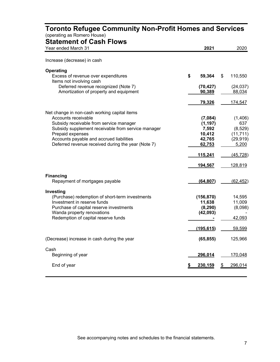| Foronto Relagee Community Non-Pront Homes and Services<br>(operating as Romero House)<br><b>Statement of Cash Flows</b>                                                                                                                                                                    |                                                            |                                                              |
|--------------------------------------------------------------------------------------------------------------------------------------------------------------------------------------------------------------------------------------------------------------------------------------------|------------------------------------------------------------|--------------------------------------------------------------|
| Year ended March 31                                                                                                                                                                                                                                                                        | 2021                                                       | 2020                                                         |
| Increase (decrease) in cash                                                                                                                                                                                                                                                                |                                                            |                                                              |
| <b>Operating</b><br>Excess of revenue over expenditures<br>Items not involving cash                                                                                                                                                                                                        | \$<br>59,364                                               | \$<br>110,550                                                |
| Deferred revenue recognized (Note 7)<br>Amortization of property and equipment                                                                                                                                                                                                             | (70, 427)<br>90,389                                        | (24, 037)<br>88,034                                          |
|                                                                                                                                                                                                                                                                                            | <u>79,326</u>                                              | 174,547                                                      |
| Net change in non-cash working capital items<br>Accounts receivable<br>Subsidy receivable from service manager<br>Subsidy supplement receivable from service manager<br>Prepaid expenses<br>Accounts payable and accrued liabilities<br>Deferred revenue received during the year (Note 7) | (7,084)<br>(1, 197)<br>7,592<br>10,412<br>42,765<br>62,753 | (1,406)<br>637<br>(8,529)<br>(11, 711)<br>(29, 919)<br>5,200 |
|                                                                                                                                                                                                                                                                                            | 115,241<br>194,567                                         | (45, 728)<br>128,819                                         |
| <b>Financing</b><br>Repayment of mortgages payable                                                                                                                                                                                                                                         | (64, 807)                                                  | <u>(62,452)</u>                                              |
| Investing<br>(Purchase) redemption of short-term investments<br>Investment in reserve funds<br>Purchase of capital reserve investments<br>Wanda property renovations<br>Redemption of capital reserve funds                                                                                | (156, 870)<br>11,638<br>(8, 290)<br>(42, 093)              | 14,595<br>11,009<br>(8,098)<br>42,093                        |
| (Decrease) increase in cash during the year                                                                                                                                                                                                                                                | (195, 615)<br>(65, 855)                                    | 59,599<br>125,966                                            |
| Cash<br>Beginning of year                                                                                                                                                                                                                                                                  | 296,014                                                    | <u>170,048</u>                                               |
| End of year                                                                                                                                                                                                                                                                                | 230,159                                                    | \$<br>296,014                                                |

# **Toronto Refugee Community Non-Profit Homes and Services**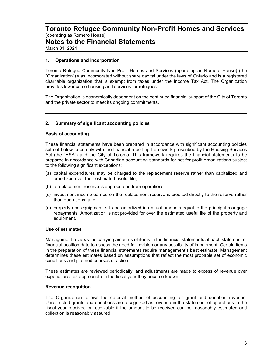**Notes to the Financial Statements** 

March 31, 2021

## **1. Operations and incorporation**

Toronto Refugee Community Non-Profit Homes and Services (operating as Romero House) (the "Organization") was incorporated without share capital under the laws of Ontario and is a registered charitable organization that is exempt from taxes under the Income Tax Act. The Organization provides low income housing and services for refugees.

The Organization is economically dependent on the continued financial support of the City of Toronto and the private sector to meet its ongoing commitments.

## **2. Summary of significant accounting policies**

#### **Basis of accounting**

These financial statements have been prepared in accordance with significant accounting policies set out below to comply with the financial reporting framework prescribed by the Housing Services Act (the "HSA") and the City of Toronto. This framework requires the financial statements to be prepared in accordance with Canadian accounting standards for not-for-profit organizations subject to the following significant exceptions:

- (a) capital expenditures may be charged to the replacement reserve rather than capitalized and amortized over their estimated useful life;
- (b) a replacement reserve is appropriated from operations;
- (c) investment income earned on the replacement reserve is credited directly to the reserve rather than operations; and
- (d) property and equipment is to be amortized in annual amounts equal to the principal mortgage repayments. Amortization is not provided for over the estimated useful life of the property and equipment.

#### **Use of estimates**

Management reviews the carrying amounts of items in the financial statements at each statement of financial position date to assess the need for revision or any possibility of impairment. Certain items in the preparation of these financial statements require management's best estimate. Management determines these estimates based on assumptions that reflect the most probable set of economic conditions and planned courses of action.

These estimates are reviewed periodically, and adjustments are made to excess of revenue over expenditures as appropriate in the fiscal year they become known.

#### **Revenue recognition**

The Organization follows the deferral method of accounting for grant and donation revenue. Unrestricted grants and donations are recognized as revenue in the statement of operations in the fiscal year received or receivable if the amount to be received can be reasonably estimated and collection is reasonably assured.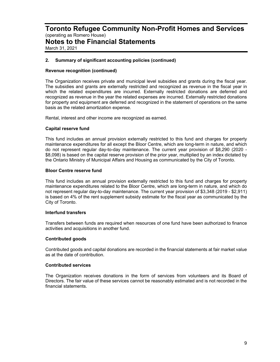# **Toronto Refugee Community Non-Profit Homes and Services**  (operating as Romero House) **Notes to the Financial Statements**

March 31, 2021

#### **2. Summary of significant accounting policies (continued)**

#### **Revenue recognition (continued)**

The Organization receives private and municipal level subsidies and grants during the fiscal year. The subsidies and grants are externally restricted and recognized as revenue in the fiscal year in which the related expenditures are incurred. Externally restricted donations are deferred and recognized as revenue in the year the related expenses are incurred. Externally restricted donations for property and equipment are deferred and recognized in the statement of operations on the same basis as the related amortization expense.

Rental, interest and other income are recognized as earned.

#### **Capital reserve fund**

This fund includes an annual provision externally restricted to this fund and charges for property maintenance expenditures for all except the Bloor Centre, which are long-term in nature, and which do not represent regular day-to-day maintenance. The current year provision of \$8,290 (2020 - \$8,098) is based on the capital reserve provision of the prior year, multiplied by an index dictated by the Ontario Ministry of Municipal Affairs and Housing as communicated by the City of Toronto.

#### **Bloor Centre reserve fund**

This fund includes an annual provision externally restricted to this fund and charges for property maintenance expenditures related to the Bloor Centre, which are long-term in nature, and which do not represent regular day-to-day maintenance. The current year provision of \$3,348 (2019 - \$2,911) is based on 4% of the rent supplement subsidy estimate for the fiscal year as communicated by the City of Toronto.

#### **Interfund transfers**

Transfers between funds are required when resources of one fund have been authorized to finance activities and acquisitions in another fund.

#### **Contributed goods**

Contributed goods and capital donations are recorded in the financial statements at fair market value as at the date of contribution.

#### **Contributed services**

The Organization receives donations in the form of services from volunteers and its Board of Directors. The fair value of these services cannot be reasonably estimated and is not recorded in the financial statements.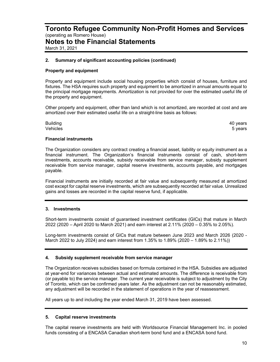**Notes to the Financial Statements** 

March 31, 2021

# **2. Summary of significant accounting policies (continued)**

# **Property and equipment**

Property and equipment include social housing properties which consist of houses, furniture and fixtures. The HSA requires such property and equipment to be amortized in annual amounts equal to the principal mortgage repayments. Amortization is not provided for over the estimated useful life of the property and equipment.

Other property and equipment, other than land which is not amortized, are recorded at cost and are amortized over their estimated useful life on a straight-line basis as follows:

Building 40 years Vehicles 5 years

## **Financial instruments**

The Organization considers any contract creating a financial asset, liability or equity instrument as a financial instrument. The Organization's financial instruments consist of cash, short-term investments, accounts receivable, subsidy receivable from service manager, subsidy supplement receivable from service manager, capital reserve investments, accounts payable, and mortgages payable.

Financial instruments are initially recorded at fair value and subsequently measured at amortized cost except for capital reserve investments, which are subsequently recorded at fair value. Unrealized gains and losses are recorded in the capital reserve fund, if applicable.

## **3. Investments**

Short-term investments consist of guaranteed investment certificates (GICs) that mature in March 2022 (2020 – April 2020 to March 2021) and earn interest at 2.11% (2020 – 0.35% to 2.05%).

Long-term investments consist of GICs that mature between June 2023 and March 2026 (2020 - March 2022 to July 2024) and earn interest from 1.35% to 1.89% (2020 – 1.89% to 2.11%))

## **4. Subsidy supplement receivable from service manager**

The Organization receives subsidies based on formula contained in the HSA. Subsidies are adjusted at year-end for variances between actual and estimated amounts. The difference is receivable from (or payable to) the service manager. The current year receivable is subject to adjustment by the City of Toronto, which can be confirmed years later. As the adjustment can not be reasonably estimated, any adjustment will be recorded in the statement of operations in the year of reassessment.

All years up to and including the year ended March 31, 2019 have been assessed.

## **5. Capital reserve investments**

The capital reserve investments are held with Worldsource Financial Management Inc. in pooled funds consisting of a ENCASA Canadian short-term bond fund and a ENCASA bond fund.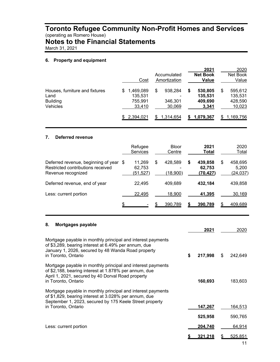**Notes to the Financial Statements** 

March 31, 2021

# **6. Property and equipment**

|                                                                       | Cost                                           | Accumulated<br>Amortization        | 2021<br><b>Net Book</b><br><b>Value</b> | 2020<br>Net Book<br>Value               |
|-----------------------------------------------------------------------|------------------------------------------------|------------------------------------|-----------------------------------------|-----------------------------------------|
| Houses, furniture and fixtures<br>Land<br><b>Building</b><br>Vehicles | 1.469.089<br>S<br>135.531<br>755.991<br>33.410 | 938.284<br>\$<br>346.301<br>30,069 | 530,805<br>135,531<br>409,690<br>3,341  | 595,612<br>135,531<br>428,590<br>10,023 |
|                                                                       | 2,394,021                                      | 1,314,654                          | 1,079,367<br>S.                         | 1,169,756                               |

## **7. Deferred revenue**

|                                                                                                   | Refugee<br><b>Services</b>    | <b>Bloor</b><br>Centre    | 2021<br>Total                       |   | 2020<br>Total                 |
|---------------------------------------------------------------------------------------------------|-------------------------------|---------------------------|-------------------------------------|---|-------------------------------|
| Deferred revenue, beginning of year \$<br>Restricted contributions received<br>Revenue recognized | 11,269<br>62,753<br>(51, 527) | \$<br>428,589<br>(18,900) | \$<br>439,858<br>62,753<br>(70,427) | S | 458,695<br>5,200<br>(24, 037) |
| Deferred revenue, end of year                                                                     | 22,495                        | 409,689                   | 432,184                             |   | 439,858                       |
| Less: current portion                                                                             | 22.495                        | 18.900                    | 41,395                              |   | 30,169                        |
|                                                                                                   |                               | 390,789                   | 390,789                             |   | 409,689                       |

# **8. Mortgages payable**

|                                                                                                                                                                                                  | 2021          |    | 2020    |
|--------------------------------------------------------------------------------------------------------------------------------------------------------------------------------------------------|---------------|----|---------|
| Mortgage payable in monthly principal and interest payments<br>of \$3,289, bearing interest at 6.49% per annum, due<br>January 1, 2026, secured by 48 Wanda Road property<br>in Toronto, Ontario | \$<br>217,998 | S. | 242.649 |
| Mortgage payable in monthly principal and interest payments<br>of \$2,188, bearing interest at 1.878% per annum, due<br>April 1, 2021, secured by 40 Dorval Road property<br>in Toronto, Ontario | 160,693       |    | 183,603 |
| Mortgage payable in monthly principal and interest payments<br>of \$1,829, bearing interest at 3.028% per annum, due<br>September 1, 2023, secured by 175 Keele Street property                  |               |    |         |
| in Toronto, Ontario                                                                                                                                                                              | 147,267       |    | 164,513 |
|                                                                                                                                                                                                  | 525,958       |    | 590,765 |
| Less: current portion                                                                                                                                                                            | 204.740       |    | 64,914  |
|                                                                                                                                                                                                  | 321,218       |    | 525,851 |

11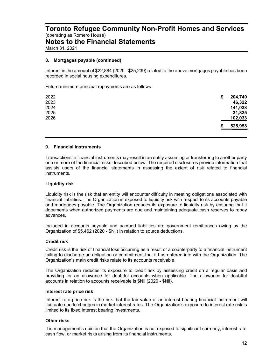# **Toronto Refugee Community Non-Profit Homes and Services**  (operating as Romero House) **Notes to the Financial Statements**

March 31, 2021

#### **8. Mortgages payable (continued)**

Interest in the amount of \$22,884 (2020 - \$25,239) related to the above mortgages payable has been recorded in social housing expenditures.

Future minimum principal repayments are as follows:

| 2022 | \$<br>204,740 |
|------|---------------|
| 2023 | 46,322        |
| 2024 | 141,038       |
| 2025 | 31,825        |
| 2026 | 102,033       |
|      | 525,958       |

#### **9. Financial instruments**

Transactions in financial instruments may result in an entity assuming or transferring to another party one or more of the financial risks described below. The required disclosures provide information that assists users of the financial statements in assessing the extent of risk related to financial instruments.

#### **Liquidity risk**

Liquidity risk is the risk that an entity will encounter difficulty in meeting obligations associated with financial liabilities. The Organization is exposed to liquidity risk with respect to its accounts payable and mortgages payable. The Organization reduces its exposure to liquidity risk by ensuring that it documents when authorized payments are due and maintaining adequate cash reserves to repay advances.

Included in accounts payable and accrued liabilities are government remittances owing by the Organization of \$5,462 (2020 - \$Nil) in relation to source deductions.

#### **Credit risk**

Credit risk is the risk of financial loss occurring as a result of a counterparty to a financial instrument failing to discharge an obligation or commitment that it has entered into with the Organization. The Organization's main credit risks relate to its accounts receivable.

The Organization reduces its exposure to credit risk by assessing credit on a regular basis and providing for an allowance for doubtful accounts when applicable. The allowance for doubtful accounts in relation to accounts receivable is \$Nil (2020 - \$Nil).

#### **Interest rate price risk**

Interest rate price risk is the risk that the fair value of an interest bearing financial instrument will fluctuate due to changes in market interest rates. The Organization's exposure to interest rate risk is limited to its fixed interest bearing investments.

#### **Other risks**

It is management's opinion that the Organization is not exposed to significant currency, interest rate cash flow, or market risks arising from its financial instruments.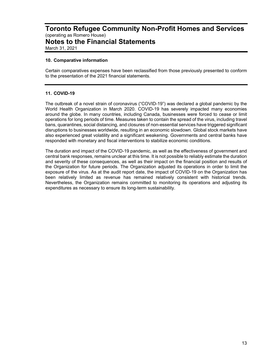# **Toronto Refugee Community Non-Profit Homes and Services**  (operating as Romero House) **Notes to the Financial Statements**

March 31, 2021

#### **10. Comparative information**

Certain comparatives expenses have been reclassified from those previously presented to conform to the presentation of the 2021 financial statements.

#### **11. COVID-19**

The outbreak of a novel strain of coronavirus ("COVID-19") was declared a global pandemic by the World Health Organization in March 2020. COVID-19 has severely impacted many economies around the globe. In many countries, including Canada, businesses were forced to cease or limit operations for long periods of time. Measures taken to contain the spread of the virus, including travel bans, quarantines, social distancing, and closures of non-essential services have triggered significant disruptions to businesses worldwide, resulting in an economic slowdown. Global stock markets have also experienced great volatility and a significant weakening. Governments and central banks have responded with monetary and fiscal interventions to stabilize economic conditions.

The duration and impact of the COVID-19 pandemic, as well as the effectiveness of government and central bank responses, remains unclear at this time. It is not possible to reliably estimate the duration and severity of these consequences, as well as their impact on the financial position and results of the Organization for future periods. The Organization adjusted its operations in order to limit the exposure of the virus. As at the audit report date, the impact of COVID-19 on the Organization has been relatively limited as revenue has remained relatively consistent with historical trends. Nevertheless, the Organization remains committed to monitoring its operations and adjusting its expenditures as necessary to ensure its long-term sustainability.